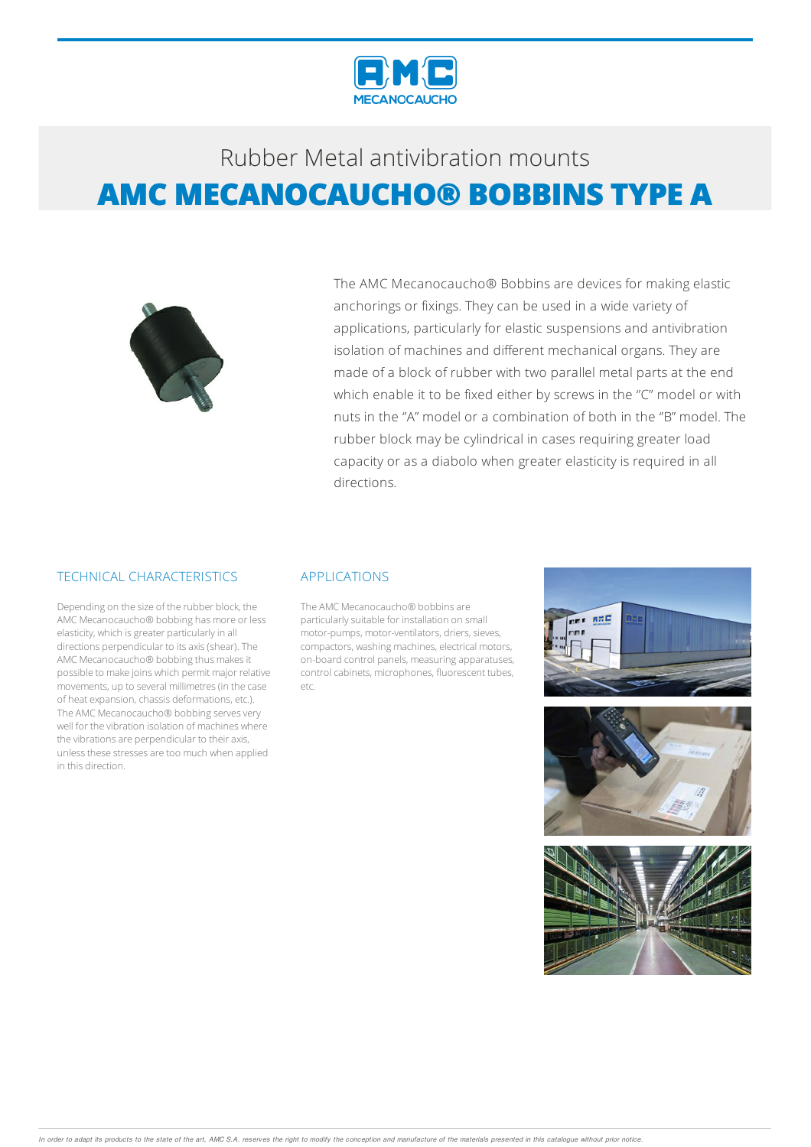



The AMC Mecanocaucho® Bobbins are devices for making elastic anchorings or fixings. They can be used in a wide variety of applications, particularly for elastic suspensions and antivibration isolation of machines and different mechanical organs. They are made of a block of rubber with two parallel metal parts at the end which enable it to be fixed either by screws in the "C" model or with nuts in the ''A" model or a combination of both in the ''B" model. The rubber block may be cylindrical in cases requiring greater load capacity or as a diabolo when greater elasticity is required in all directions.

#### TECHNICAL CHARACTERISTICS

Depending on the size of the rubber block, the AMC Mecanocaucho® bobbing has more or less elasticity, which is greater particularly in all directions perpendicular to itsaxis(shear).The AMC Mecanocaucho® bobbing thus makes it possible to make joins which permit major relative movements, up to several millimetres(in the case of heat expansion, chassis deformations, etc.). The AMC Mecanocaucho® bobbing serves very well for the vibration isolation of machines where the vibrations are perpendicular to their axis, unless these stresses are too much when applied in this direction.

#### APPLICATIONS

The AMC Mecanocaucho® bobbins are particularly suitable for installation on small motor-pumps, motor-ventilators, driers, sieves, compactors, washing machines, electrical motors, on-board control panels, measuringapparatuses, control cabinets, microphones, fluorescent tubes, etc.





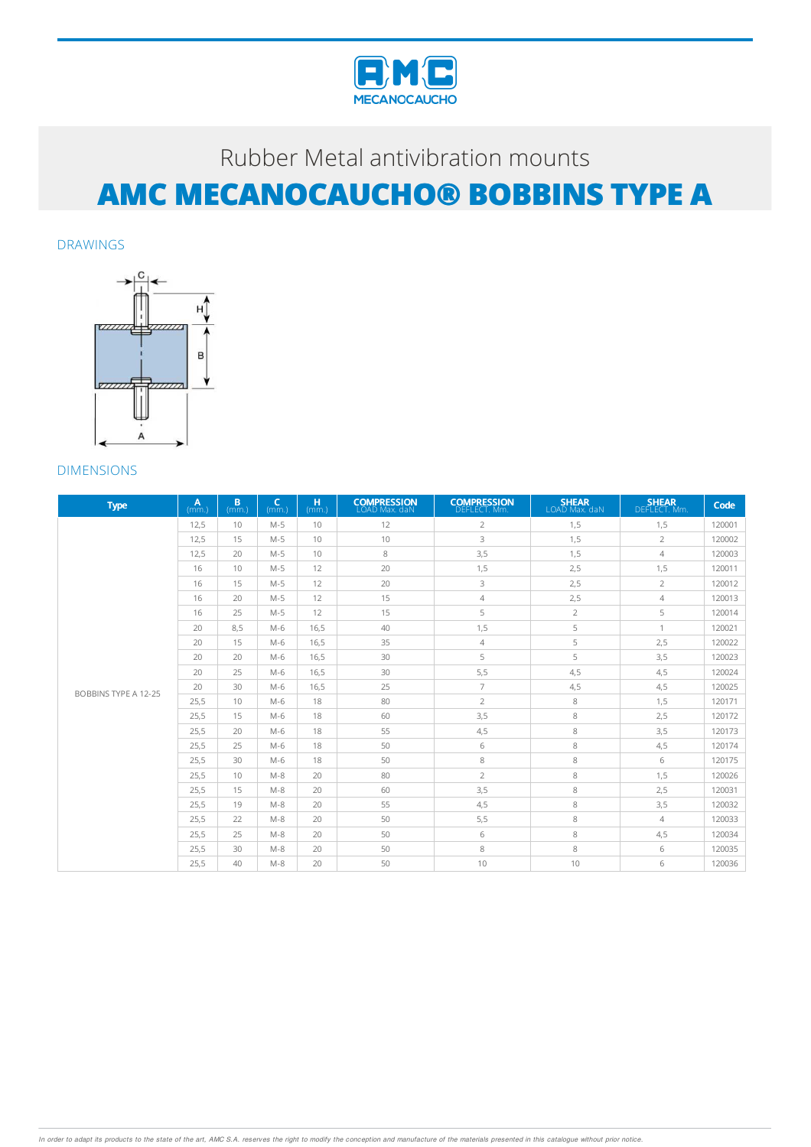

DRAWINGS



| <b>Type</b>                 | A<br>(mm) | B<br>(mm.) | $\epsilon$<br>(mm) | H<br>(mm.) | <b>COMPRESSION</b><br>LOAD Max. daN | <b>COMPRESSION</b><br>DEFLECT. Mm. | <b>SHEAR</b><br>LOAD Max. daN | <b>SHEAR</b><br>DEFLECT. Mm. | Code   |
|-----------------------------|-----------|------------|--------------------|------------|-------------------------------------|------------------------------------|-------------------------------|------------------------------|--------|
|                             | 12.5      | 10         | $M-5$              | 10         | 12                                  | $\overline{2}$                     | 1,5                           | 1,5                          | 120001 |
|                             | 12.5      | 15         | $M-5$              | 10         | 10                                  | 3                                  | 1,5                           | $\overline{2}$               | 120002 |
|                             | 12,5      | 20         | $M-5$              | 10         | 8                                   | 3,5                                | 1,5                           | 4                            | 120003 |
|                             | 16        | 10         | $M-5$              | 12         | 20                                  | 1,5                                | 2,5                           | 1,5                          | 120011 |
|                             | 16        | 15         | $M-5$              | 12         | 20                                  | 3                                  | 2,5                           | $\overline{2}$               | 120012 |
|                             | 16        | 20         | $M-5$              | 12         | 15                                  | 4                                  | 2,5                           | $\overline{4}$               | 120013 |
|                             | 16        | 25         | $M-5$              | 12         | 15                                  | 5                                  | $\overline{2}$                | 5                            | 120014 |
|                             | 20        | 8.5        | $M-6$              | 16.5       | 40                                  | 1,5                                | 5                             | 1                            | 120021 |
|                             | 20        | 15         | $M-6$              | 16.5       | 35                                  | $\overline{4}$                     | 5                             | 2,5                          | 120022 |
|                             | 20        | 20         | $M-6$              | 16,5       | 30                                  | 5                                  | 5                             | 3,5                          | 120023 |
|                             | 20        | 25         | $M-6$              | 16,5       | 30                                  | 5,5                                | 4,5                           | 4,5                          | 120024 |
| <b>BOBBINS TYPE A 12-25</b> | 20        | 30         | $M-6$              | 16.5       | 25                                  | $\overline{7}$                     | 4,5                           | 4,5                          | 120025 |
|                             | 25,5      | 10         | $M-6$              | 18         | 80                                  | $\overline{2}$                     | 8                             | 1,5                          | 120171 |
|                             | 25.5      | 15         | $M-6$              | 18         | 60                                  | 3,5                                | 8                             | 2,5                          | 120172 |
|                             | 25.5      | 20         | $M-6$              | 18         | 55                                  | 4,5                                | 8                             | 3,5                          | 120173 |
|                             | 25.5      | 25         | $M-6$              | 18         | 50                                  | 6                                  | 8                             | 4,5                          | 120174 |
|                             | 25.5      | 30         | $M-6$              | 18         | 50                                  | 8                                  | 8                             | 6                            | 120175 |
|                             | 25.5      | 10         | $M-8$              | 20         | 80                                  | $\overline{2}$                     | 8                             | 1.5                          | 120026 |
|                             | 25.5      | 15         | $M-8$              | 20         | 60                                  | 3,5                                | 8                             | 2,5                          | 120031 |
|                             | 25,5      | 19         | $M-8$              | 20         | 55                                  | 4,5                                | 8                             | 3,5                          | 120032 |
|                             | 25.5      | 22         | $M-8$              | 20         | 50                                  | 5,5                                | 8                             | 4                            | 120033 |
|                             | 25.5      | 25         | $M-8$              | 20         | 50                                  | 6                                  | 8                             | 4,5                          | 120034 |
|                             | 25,5      | 30         | $M-8$              | 20         | 50                                  | 8                                  | 8                             | 6                            | 120035 |
|                             | 25.5      | 40         | $M-8$              | 20         | 50                                  | 10                                 | 10                            | 6                            | 120036 |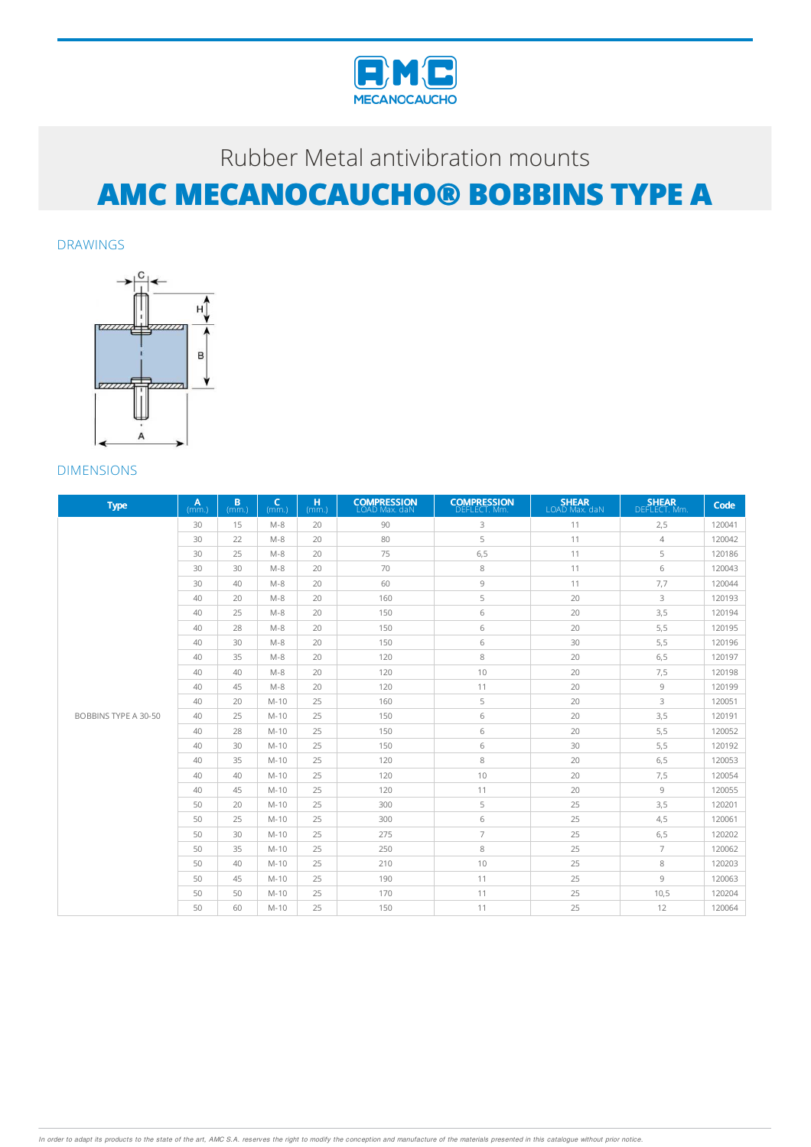

DRAWINGS



| <b>Type</b>          | A<br>(mm.) | B<br>(mm.) | $\epsilon$<br>(mm.) | H.<br>(mm.) | <b>COMPRESSION</b><br>LOAD Max. daN | <b>COMPRESSION</b><br>DEFLECT. Mm. | <b>SHEAR</b><br>LOAD Max. daN | <b>SHEAR</b><br>DEFLECT. Mm. | Code   |
|----------------------|------------|------------|---------------------|-------------|-------------------------------------|------------------------------------|-------------------------------|------------------------------|--------|
|                      | 30         | 15         | $M - 8$             | 20          | 90                                  | 3                                  | 11                            | 2,5                          | 120041 |
|                      | 30         | 22         | $M-8$               | 20          | 80                                  | 5                                  | 11                            | $\overline{4}$               | 120042 |
|                      | 30         | 25         | $M-8$               | 20          | 75                                  | 6, 5                               | 11                            | 5                            | 120186 |
|                      | 30         | 30         | $M-8$               | 20          | 70                                  | 8                                  | 11                            | 6                            | 120043 |
|                      | 30         | 40         | $M-8$               | 20          | 60                                  | 9                                  | 11                            | 7,7                          | 120044 |
|                      | 40         | 20         | $M - 8$             | 20          | 160                                 | 5                                  | 20                            | 3                            | 120193 |
|                      | 40         | 25         | $M-8$               | 20          | 150                                 | 6                                  | 20                            | 3,5                          | 120194 |
|                      | 40         | 28         | $M-8$               | 20          | 150                                 | 6                                  | 20                            | 5,5                          | 120195 |
|                      | 40         | 30         | $M-8$               | 20          | 150                                 | 6                                  | 30                            | 5,5                          | 120196 |
|                      | 40         | 35         | $M-8$               | 20          | 120                                 | 8                                  | 20                            | 6,5                          | 120197 |
|                      | 40         | 40         | $M-8$               | 20          | 120                                 | 10                                 | 20                            | 7,5                          | 120198 |
|                      | 40         | 45         | $M-8$               | 20          | 120                                 | 11                                 | 20                            | 9                            | 120199 |
|                      | 40         | 20         | $M-10$              | 25          | 160                                 | 5                                  | 20                            | 3                            | 120051 |
| BOBBINS TYPE A 30-50 | 40         | 25         | $M-10$              | 25          | 150                                 | 6                                  | 20                            | 3,5                          | 120191 |
|                      | 40         | 28         | $M-10$              | 25          | 150                                 | 6                                  | 20                            | 5,5                          | 120052 |
|                      | 40         | 30         | $M-10$              | 25          | 150                                 | 6                                  | 30                            | 5,5                          | 120192 |
|                      | 40         | 35         | $M-10$              | 25          | 120                                 | 8                                  | 20                            | 6,5                          | 120053 |
|                      | 40         | 40         | $M-10$              | 25          | 120                                 | 10                                 | 20                            | 7,5                          | 120054 |
|                      | 40         | 45         | $M-10$              | 25          | 120                                 | 11                                 | 20                            | 9                            | 120055 |
|                      | 50         | 20         | $M-10$              | 25          | 300                                 | 5                                  | 25                            | 3,5                          | 120201 |
|                      | 50         | 25         | $M-10$              | 25          | 300                                 | 6                                  | 25                            | 4,5                          | 120061 |
|                      | 50         | 30         | $M-10$              | 25          | 275                                 | $\overline{7}$                     | 25                            | 6,5                          | 120202 |
|                      | 50         | 35         | $M-10$              | 25          | 250                                 | 8                                  | 25                            | $\overline{7}$               | 120062 |
|                      | 50         | 40         | $M-10$              | 25          | 210                                 | 10                                 | 25                            | 8                            | 120203 |
|                      | 50         | 45         | $M-10$              | 25          | 190                                 | 11                                 | 25                            | $\circ$                      | 120063 |
|                      | 50         | 50         | $M-10$              | 25          | 170                                 | 11                                 | 25                            | 10,5                         | 120204 |
|                      | 50         | 60         | $M-10$              | 25          | 150                                 | 11                                 | 25                            | 12                           | 120064 |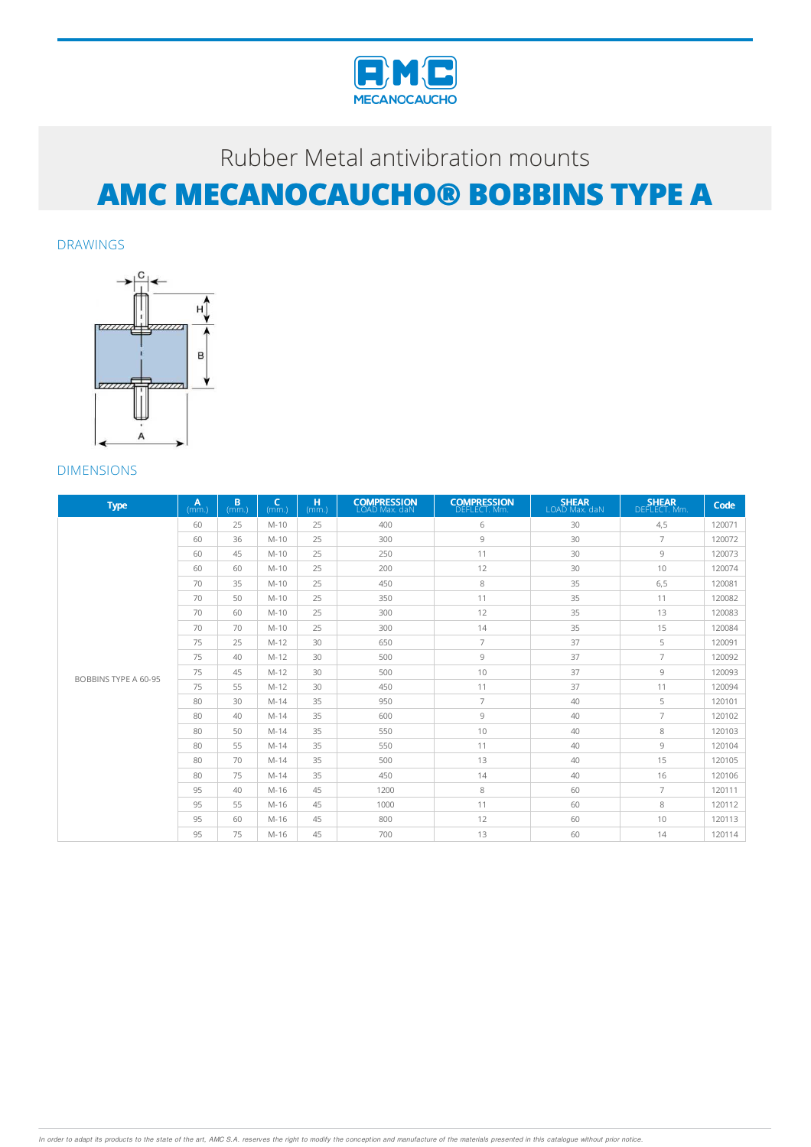

DRAWINGS



| <b>Type</b>                 | A<br>$(mm)$ . | B<br>$(mm)$ . | $\epsilon$<br>(mm) | H<br>(mm.) | <b>COMPRESSION</b><br>LOAD Max. daN | <b>COMPRESSION</b><br>DEFLECT, Mm. | <b>SHEAR</b><br>LOAD Max. daN | <b>SHEAR</b><br>DEFLECT. Mm. | Code   |
|-----------------------------|---------------|---------------|--------------------|------------|-------------------------------------|------------------------------------|-------------------------------|------------------------------|--------|
|                             | 60            | 25            | $M-10$             | 25         | 400                                 | 6                                  | 30                            | 4,5                          | 120071 |
|                             | 60            | 36            | $M-10$             | 25         | 300                                 | 9                                  | 30                            | $\overline{7}$               | 120072 |
|                             | 60            | 45            | $M-10$             | 25         | 250                                 | 11                                 | 30                            | 9                            | 120073 |
|                             | 60            | 60            | $M-10$             | 25         | 200                                 | 12                                 | 30                            | 10                           | 120074 |
|                             | 70            | 35            | $M-10$             | 25         | 450                                 | 8                                  | 35                            | 6,5                          | 120081 |
|                             | 70            | 50            | $M-10$             | 25         | 350                                 | 11                                 | 35                            | 11                           | 120082 |
|                             | 70            | 60            | $M-10$             | 25         | 300                                 | 12                                 | 35                            | 13                           | 120083 |
|                             | 70            | 70            | $M-10$             | 25         | 300                                 | 14                                 | 35                            | 15                           | 120084 |
|                             | 75            | 25            | $M-12$             | 30         | 650                                 | $\overline{7}$                     | 37                            | 5                            | 120091 |
|                             | 75            | 40            | $M-12$             | 30         | 500                                 | 9                                  | 37                            | $\overline{7}$               | 120092 |
| <b>BOBBINS TYPE A 60-95</b> | 75            | 45            | $M-12$             | 30         | 500                                 | 10                                 | 37                            | 9                            | 120093 |
|                             | 75            | 55            | $M-12$             | 30         | 450                                 | 11                                 | 37                            | 11                           | 120094 |
|                             | 80            | 30            | $M-14$             | 35         | 950                                 | $\overline{7}$                     | 40                            | 5                            | 120101 |
|                             | 80            | 40            | $M-14$             | 35         | 600                                 | 9                                  | 40                            | 7                            | 120102 |
|                             | 80            | 50            | $M-14$             | 35         | 550                                 | 10                                 | 40                            | 8                            | 120103 |
|                             | 80            | 55            | $M-14$             | 35         | 550                                 | 11                                 | 40                            | 9                            | 120104 |
|                             | 80            | 70            | $M-14$             | 35         | 500                                 | 13                                 | 40                            | 15                           | 120105 |
|                             | 80            | 75            | $M-14$             | 35         | 450                                 | 14                                 | 40                            | 16                           | 120106 |
|                             | 95            | 40            | M-16               | 45         | 1200                                | 8                                  | 60                            | $\overline{7}$               | 120111 |
|                             | 95            | 55            | $M-16$             | 45         | 1000                                | 11                                 | 60                            | 8                            | 120112 |
|                             | 95            | 60            | M-16               | 45         | 800                                 | 12                                 | 60                            | 10                           | 120113 |
|                             | 95            | 75            | $M-16$             | 45         | 700                                 | 13                                 | 60                            | 14                           | 120114 |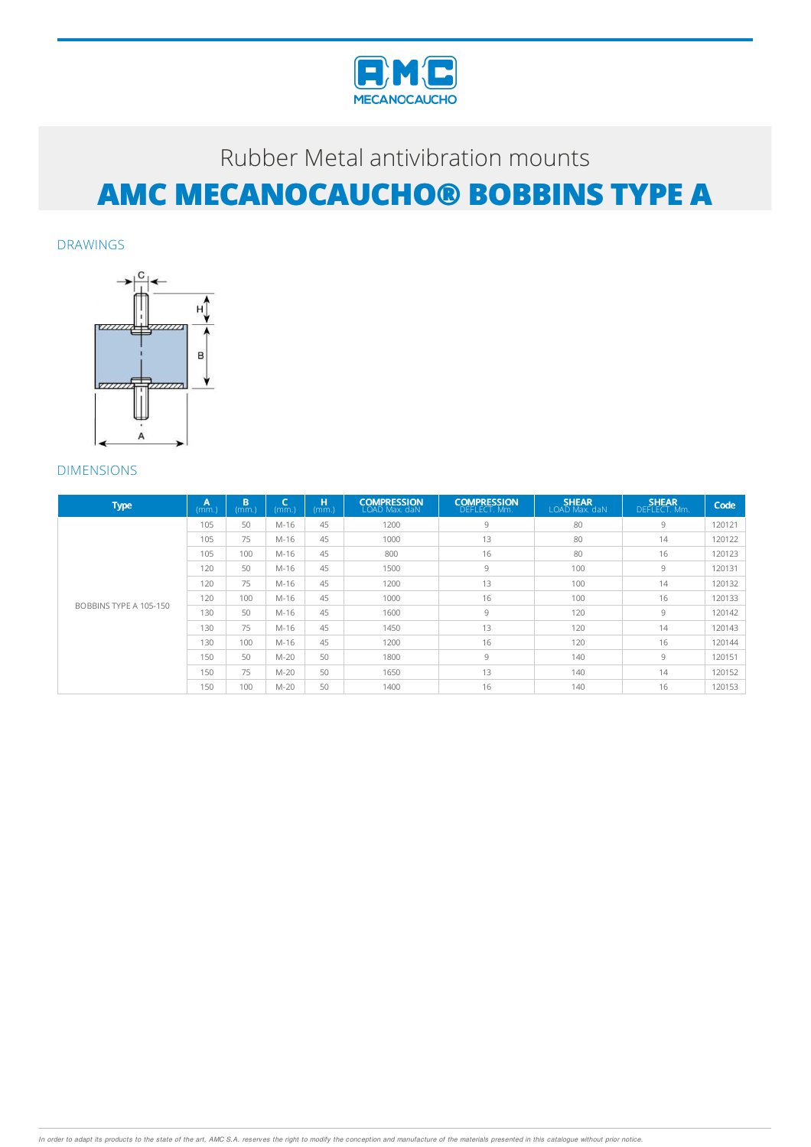

DRAWINGS



| <b>Type</b>            | A<br>(mm) | B<br>(mm.) | l C.<br>(mm) | н<br>(mm) | <b>COMPRESSION</b><br>LOAD Max. daN | <b>COMPRESSION</b><br>DEFLECT. Mm. | <b>SHEAR</b><br>LOAD Max. daN | <b>SHEAR</b><br>DEFLECT. Mm. | Code   |
|------------------------|-----------|------------|--------------|-----------|-------------------------------------|------------------------------------|-------------------------------|------------------------------|--------|
|                        | 105       | 50         | $M-16$       | 45        | 1200                                | 9                                  | 80                            | 9                            | 120121 |
|                        | 105       | 75         | $M-16$       | 45        | 1000                                | 13                                 | 80                            | 14                           | 120122 |
|                        | 105       | 100        | $M-16$       | 45        | 800                                 | 16                                 | 80                            | 16                           | 120123 |
|                        | 120       | 50         | M-16         | 45        | 1500                                | 9                                  | 100                           | 9                            | 120131 |
|                        | 120       | 75         | $M-16$       | 45        | 1200                                | 13                                 | 100                           | 14                           | 120132 |
|                        | 120       | 100        | $M-16$       | 45        | 1000                                | 16                                 | 100                           | 16                           | 120133 |
| BOBBINS TYPE A 105-150 | 130       | 50         | $M-16$       | 45        | 1600                                | 9                                  | 120                           | 9                            | 120142 |
|                        | 130       | 75         | M-16         | 45        | 1450                                | 13                                 | 120                           | 14                           | 120143 |
|                        | 130       | 100        | $M-16$       | 45        | 1200                                | 16                                 | 120                           | 16                           | 120144 |
|                        | 150       | 50         | $M-20$       | 50        | 1800                                | 9                                  | 140                           | 9                            | 120151 |
|                        | 150       | 75         | $M-20$       | 50        | 1650                                | 13                                 | 140                           | 14                           | 120152 |
|                        | 150       | 100        | $M-20$       | 50        | 1400                                | 16                                 | 140                           | 16                           | 120153 |